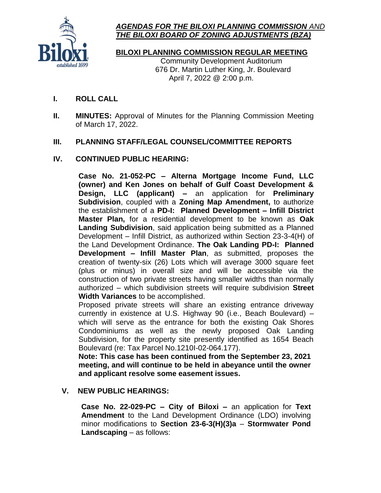

# *AGENDAS FOR THE BILOXI PLANNING COMMISSION AND THE BILOXI BOARD OF ZONING ADJUSTMENTS (BZA)*

**BILOXI PLANNING COMMISSION REGULAR MEETING**

Community Development Auditorium 676 Dr. Martin Luther King, Jr. Boulevard April 7, 2022 @ 2:00 p.m.

- **I. ROLL CALL**
- **II. MINUTES:** Approval of Minutes for the Planning Commission Meeting of March 17, 2022.

# **III. PLANNING STAFF/LEGAL COUNSEL/COMMITTEE REPORTS**

# **IV. CONTINUED PUBLIC HEARING:**

**Case No. 21-052-PC – Alterna Mortgage Income Fund, LLC (owner) and Ken Jones on behalf of Gulf Coast Development & Design, LLC (applicant) –** an application for **Preliminary Subdivision**, coupled with a **Zoning Map Amendment,** to authorize the establishment of a **PD-I: Planned Development – Infill District Master Plan,** for a residential development to be known as **Oak Landing Subdivision**, said application being submitted as a Planned Development – Infill District, as authorized within Section 23-3-4(H) of the Land Development Ordinance. **The Oak Landing PD-I: Planned Development – Infill Master Plan**, as submitted, proposes the creation of twenty-six (26) Lots which will average 3000 square feet (plus or minus) in overall size and will be accessible via the construction of two private streets having smaller widths than normally authorized – which subdivision streets will require subdivision **Street Width Variances** to be accomplished.

Proposed private streets will share an existing entrance driveway currently in existence at U.S. Highway 90 (i.e., Beach Boulevard) – which will serve as the entrance for both the existing Oak Shores Condominiums as well as the newly proposed Oak Landing Subdivision, for the property site presently identified as 1654 Beach Boulevard (re: Tax Parcel No.1210I-02-064.177).

**Note: This case has been continued from the September 23, 2021 meeting, and will continue to be held in abeyance until the owner and applicant resolve some easement issues.**

### **V. NEW PUBLIC HEARINGS:**

**Case No. 22-029-PC – City of Biloxi –** an application for **Text Amendment** to the Land Development Ordinance (LDO) involving minor modifications to **Section 23-6-3(H)(3)a** – **Stormwater Pond Landscaping** – as follows: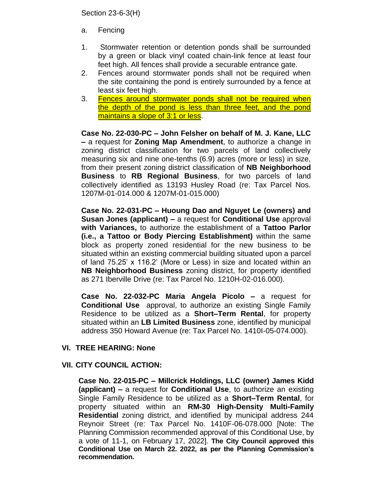Section 23-6-3(H)

- a. Fencing
- 1. Stormwater retention or detention ponds shall be surrounded by a green or black vinyl coated chain-link fence at least four feet high. All fences shall provide a securable entrance gate.
- 2. Fences around stormwater ponds shall not be required when the site containing the pond is entirely surrounded by a fence at least six feet high.
- 3. Fences around stormwater ponds shall not be required when the depth of the pond is less than three feet, and the pond maintains a slope of 3:1 or less.

**Case No. 22-030-PC – John Felsher on behalf of M. J. Kane, LLC –** a request for **Zoning Map Amendment**, to authorize a change in zoning district classification for two parcels of land collectively measuring six and nine one-tenths (6.9) acres (more or less) in size, from their present zoning district classification of **NB Neighborhood Business** to **RB Regional Business**, for two parcels of land collectively identified as 13193 Husley Road (re: Tax Parcel Nos. 1207M-01-014.000 & 1207M-01-015.000)

**Case No. 22-031-PC – Huoung Dao and Nguyet Le (owners) and Susan Jones (applicant) –** a request for **Conditional Use** approval **with Variances,** to authorize the establishment of a **Tattoo Parlor (i.e., a Tattoo or Body Piercing Establishment)** within the same block as property zoned residential for the new business to be situated within an existing commercial building situated upon a parcel of land 75.25' x 116.2' (More or Less) in size and located within an **NB Neighborhood Business** zoning district, for property identified as 271 Iberville Drive (re: Tax Parcel No. 1210H-02-016.000).

**Case No. 22-032-PC Maria Angela Picolo –** a request for **Conditional Use** approval, to authorize an existing Single Family Residence to be utilized as a **Short–Term Rental**, for property situated within an **LB Limited Business** zone, identified by municipal address 350 Howard Avenue (re: Tax Parcel No. 1410I-05-074.000).

#### **VI. TREE HEARING: None**

#### **VII. CITY COUNCIL ACTION:**

**Case No. 22-015-PC – Millcrick Holdings, LLC (owner) James Kidd (applicant) –** a request for **Conditional Use**, to authorize an existing Single Family Residence to be utilized as a **Short–Term Rental**, for property situated within an **RM-30 High-Density Multi-Family Residential** zoning district, and identified by municipal address 244 Reynoir Street (re: Tax Parcel No. 1410F-06-078.000 [Note: The Planning Commission recommended approval of this Conditional Use, by a vote of 11-1, on February 17, 2022]. **The City Council approved this Conditional Use on March 22. 2022, as per the Planning Commission's recommendation.**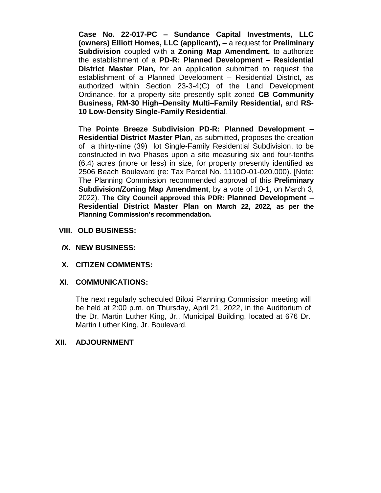**Case No. 22-017-PC – Sundance Capital Investments, LLC (owners) Elliott Homes, LLC (applicant), –** a request for **Preliminary Subdivision** coupled with a **Zoning Map Amendment,** to authorize the establishment of a **PD-R: Planned Development – Residential District Master Plan,** for an application submitted to request the establishment of a Planned Development – Residential District, as authorized within Section 23-3-4(C) of the Land Development Ordinance, for a property site presently split zoned **CB Community Business, RM-30 High–Density Multi–Family Residential,** and **RS-10 Low-Density Single-Family Residential**.

The **Pointe Breeze Subdivision PD-R: Planned Development – Residential District Master Plan**, as submitted, proposes the creation of a thirty-nine (39) lot Single-Family Residential Subdivision, to be constructed in two Phases upon a site measuring six and four-tenths (6.4) acres (more or less) in size, for property presently identified as 2506 Beach Boulevard (re: Tax Parcel No. 1110O-01-020.000). [Note: The Planning Commission recommended approval of this **Preliminary Subdivision/Zoning Map Amendment**, by a vote of 10-1, on March 3, 2022). **The City Council approved this PDR: Planned Development – Residential District Master Plan on March 22, 2022, as per the Planning Commission's recommendation.**

- **VIII. OLD BUSINESS:**
- *I***X. NEW BUSINESS:**
- **X. CITIZEN COMMENTS:**

### **XI***.* **COMMUNICATIONS:**

The next regularly scheduled Biloxi Planning Commission meeting will be held at 2:00 p.m. on Thursday, April 21, 2022, in the Auditorium of the Dr. Martin Luther King, Jr., Municipal Building, located at 676 Dr. Martin Luther King, Jr. Boulevard.

#### **XII. ADJOURNMENT**